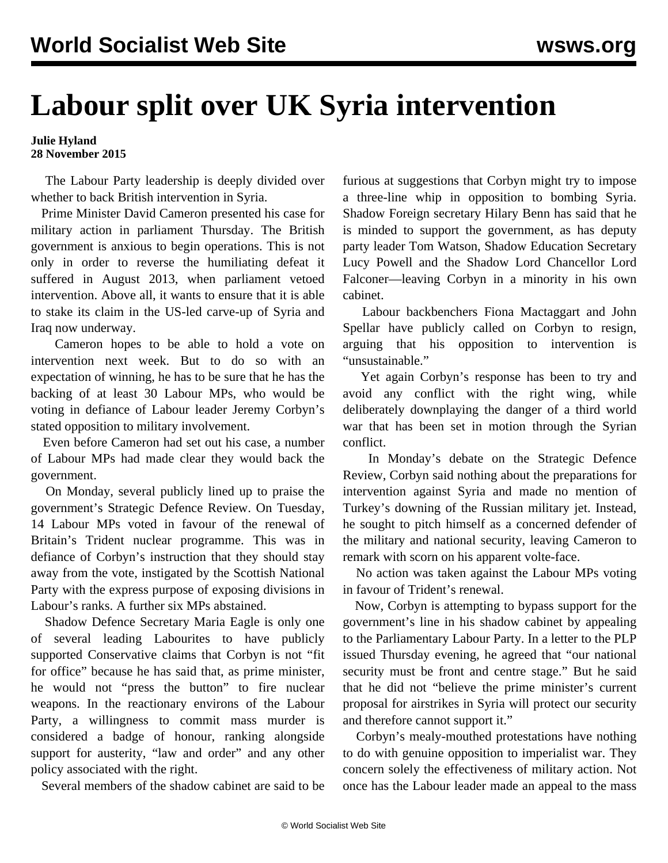## **Labour split over UK Syria intervention**

## **Julie Hyland 28 November 2015**

 The Labour Party leadership is deeply divided over whether to back British intervention in Syria.

 Prime Minister David Cameron presented his [case for](/en/articles/2015/11/27/came-n27.html) [military action](/en/articles/2015/11/27/came-n27.html) in parliament Thursday. The British government is anxious to begin operations. This is not only in order to reverse the humiliating defeat it suffered in August 2013, when parliamen[t vetoed](/en/articles/2013/08/30/brsy-a30.html) intervention. Above all, it wants to ensure that it is able to stake its claim in the US-led carve-up of Syria and Iraq now underway.

 Cameron hopes to be able to hold a vote on intervention next week. But to do so with an expectation of winning, he has to be sure that he has the backing of at least 30 Labour MPs, who would be voting in defiance of Labour leader Jeremy Corbyn's stated opposition to military involvement.

 Even before Cameron had set out his case, a number of Labour MPs had made clear they would back the government.

 On Monday, several publicly lined up to praise the government's Strategic Defence Review. On Tuesday, 14 Labour MPs voted in favour of the renewal of Britain's Trident nuclear programme. This was in defiance of Corbyn's instruction that they should stay away from the vote, instigated by the Scottish National Party with the express purpose of exposing divisions in Labour's ranks. A further six MPs abstained.

 Shadow Defence Secretary Maria Eagle is only one of several leading Labourites to have publicly supported Conservative claims that Corbyn is not "fit for office" because he has said that, as prime minister, he would not "press the button" to fire nuclear weapons. In the reactionary environs of the Labour Party, a willingness to commit mass murder is considered a badge of honour, ranking alongside support for austerity, "law and order" and any other policy associated with the right.

Several members of the shadow cabinet are said to be

furious at suggestions that Corbyn might try to impose a three-line whip in opposition to bombing Syria. Shadow Foreign secretary Hilary Benn has said that he is minded to support the government, as has deputy party leader Tom Watson, Shadow Education Secretary Lucy Powell and the Shadow Lord Chancellor Lord Falconer—leaving Corbyn in a minority in his own cabinet.

 Labour backbenchers Fiona Mactaggart and John Spellar have publicly called on Corbyn to resign, arguing that his opposition to intervention is "unsustainable."

 Yet again Corbyn's response has been to try and avoid any conflict with the right wing, while deliberately downplaying the danger of a third world war that has been set in motion through the Syrian conflict.

 In Monday's debate on the Strategic Defence Review, Corbyn said nothing about the preparations for intervention against Syria and made no mention of Turkey's downing of the Russian military jet. Instead, he sought to pitch himself as a concerned defender of the military and national security, leaving Cameron to remark with scorn on his apparent volte-face.

 No action was taken against the Labour MPs voting in favour of Trident's renewal.

 Now, Corbyn is attempting to bypass support for the government's line in his shadow cabinet by appealing to the Parliamentary Labour Party. In a letter to the PLP issued Thursday evening, he agreed that "our national security must be front and centre stage." But he said that he did not "believe the prime minister's current proposal for airstrikes in Syria will protect our security and therefore cannot support it."

 Corbyn's mealy-mouthed protestations have nothing to do with genuine opposition to imperialist war. They concern solely the effectiveness of military action. Not once has the Labour leader made an appeal to the mass